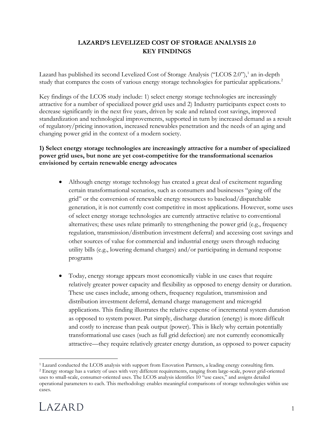## **LAZARD'S LEVELIZED COST OF STORAGE ANALYSIS 2.0 KEY FINDINGS**

Lazard has published its second Levelized Cost of Storage Analysis ("LCOS 2.0"),<sup>[1](#page-0-0)</sup> an in-depth study that compares the costs of various energy storage technologies for particular applications.<sup>2</sup>

Key findings of the LCOS study include: 1) select energy storage technologies are increasingly attractive for a number of specialized power grid uses and 2) Industry participants expect costs to decrease significantly in the next five years, driven by scale and related cost savings, improved standardization and technological improvements, supported in turn by increased demand as a result of regulatory/pricing innovation, increased renewables penetration and the needs of an aging and changing power grid in the context of a modern society.

## **1) Select energy storage technologies are increasingly attractive for a number of specialized power grid uses, but none are yet cost-competitive for the transformational scenarios envisioned by certain renewable energy advocates**

- Although energy storage technology has created a great deal of excitement regarding certain transformational scenarios, such as consumers and businesses "going off the grid" or the conversion of renewable energy resources to baseload/dispatchable generation, it is not currently cost competitive in most applications. However, some uses of select energy storage technologies are currently attractive relative to conventional alternatives; these uses relate primarily to strengthening the power grid (e.g., frequency regulation, transmission/distribution investment deferral) and accessing cost savings and other sources of value for commercial and industrial energy users through reducing utility bills (e.g., lowering demand charges) and/or participating in demand response programs
- Today, energy storage appears most economically viable in use cases that require relatively greater power capacity and flexibility as opposed to energy density or duration. These use cases include, among others, frequency regulation, transmission and distribution investment deferral, demand charge management and microgrid applications. This finding illustrates the relative expense of incremental system duration as opposed to system power. Put simply, discharge duration (energy) is more difficult and costly to increase than peak output (power). This is likely why certain potentially transformational use cases (such as full grid defection) are not currently economically attractive—they require relatively greater energy duration, as opposed to power capacity

<span id="page-0-1"></span><span id="page-0-0"></span><sup>2</sup> Energy storage has a variety of uses with very different requirements, ranging from large-scale, power grid-oriented uses to small-scale, consumer-oriented uses. The LCOS analysis identifies 10 "use cases," and assigns detailed operational parameters to each. This methodology enables meaningful comparisons of storage technologies within use cases.



 <sup>1</sup> Lazard conducted the LCOS analysis with support from Enovation Partners, a leading energy consulting firm.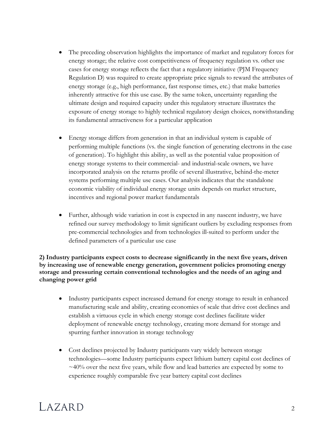- The preceding observation highlights the importance of market and regulatory forces for energy storage; the relative cost competitiveness of frequency regulation vs. other use cases for energy storage reflects the fact that a regulatory initiative (PJM Frequency Regulation D) was required to create appropriate price signals to reward the attributes of energy storage (e.g., high performance, fast response times, etc.) that make batteries inherently attractive for this use case. By the same token, uncertainty regarding the ultimate design and required capacity under this regulatory structure illustrates the exposure of energy storage to highly technical regulatory design choices, notwithstanding its fundamental attractiveness for a particular application
- Energy storage differs from generation in that an individual system is capable of performing multiple functions (vs. the single function of generating electrons in the case of generation). To highlight this ability, as well as the potential value proposition of energy storage systems to their commercial- and industrial-scale owners, we have incorporated analysis on the returns profile of several illustrative, behind-the-meter systems performing multiple use cases. Our analysis indicates that the standalone economic viability of individual energy storage units depends on market structure, incentives and regional power market fundamentals
- Further, although wide variation in cost is expected in any nascent industry, we have refined our survey methodology to limit significant outliers by excluding responses from pre-commercial technologies and from technologies ill-suited to perform under the defined parameters of a particular use case

**2) Industry participants expect costs to decrease significantly in the next five years, driven by increasing use of renewable energy generation, government policies promoting energy storage and pressuring certain conventional technologies and the needs of an aging and changing power grid**

- Industry participants expect increased demand for energy storage to result in enhanced manufacturing scale and ability, creating economies of scale that drive cost declines and establish a virtuous cycle in which energy storage cost declines facilitate wider deployment of renewable energy technology, creating more demand for storage and spurring further innovation in storage technology
- Cost declines projected by Industry participants vary widely between storage technologies—some Industry participants expect lithium battery capital cost declines of  $\sim$ 40% over the next five years, while flow and lead batteries are expected by some to experience roughly comparable five year battery capital cost declines

## $IAXARD$